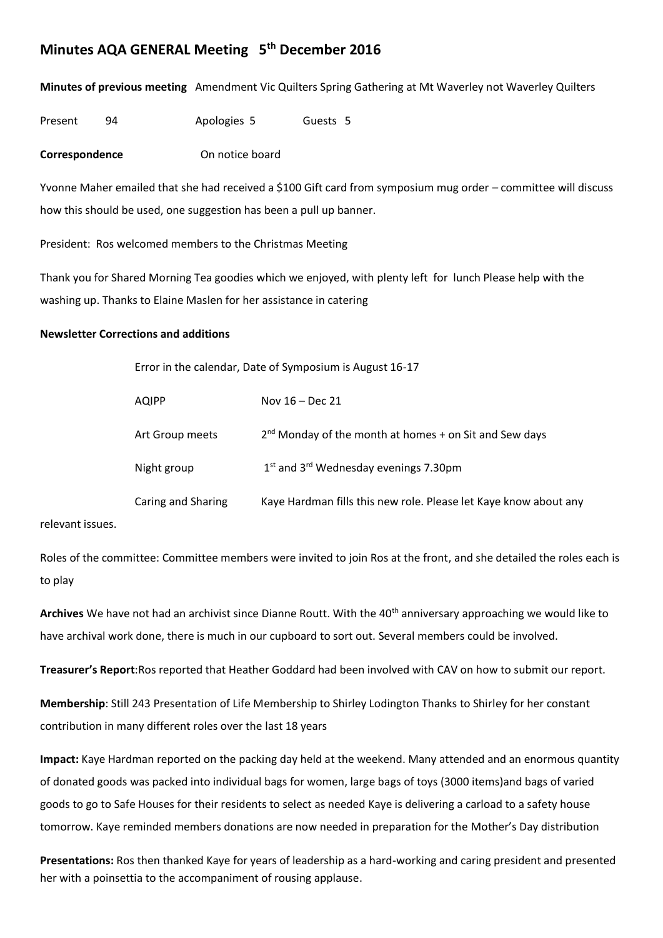## **Minutes AQA GENERAL Meeting 5th December 2016**

**Minutes of previous meeting** Amendment Vic Quilters Spring Gathering at Mt Waverley not Waverley Quilters

Present 94 Apologies 5 Guests 5

**Correspondence** On notice board

Yvonne Maher emailed that she had received a \$100 Gift card from symposium mug order – committee will discuss how this should be used, one suggestion has been a pull up banner.

President: Ros welcomed members to the Christmas Meeting

Thank you for Shared Morning Tea goodies which we enjoyed, with plenty left for lunch Please help with the washing up. Thanks to Elaine Maslen for her assistance in catering

## **Newsletter Corrections and additions**

| Error in the calendar, Date of Symposium is August 16-17 |                                                                  |
|----------------------------------------------------------|------------------------------------------------------------------|
| AQIPP                                                    | Nov $16$ – Dec 21                                                |
| Art Group meets                                          | $2nd$ Monday of the month at homes $+$ on Sit and Sew days       |
| Night group                                              | $1st$ and $3rd$ Wednesday evenings 7.30pm                        |
| Caring and Sharing                                       | Kaye Hardman fills this new role. Please let Kaye know about any |
|                                                          |                                                                  |

relevant issues.

Roles of the committee: Committee members were invited to join Ros at the front, and she detailed the roles each is to play

Archives We have not had an archivist since Dianne Routt. With the 40<sup>th</sup> anniversary approaching we would like to have archival work done, there is much in our cupboard to sort out. Several members could be involved.

**Treasurer's Report**:Ros reported that Heather Goddard had been involved with CAV on how to submit our report.

**Membership**: Still 243 Presentation of Life Membership to Shirley Lodington Thanks to Shirley for her constant contribution in many different roles over the last 18 years

**Impact:** Kaye Hardman reported on the packing day held at the weekend. Many attended and an enormous quantity of donated goods was packed into individual bags for women, large bags of toys (3000 items)and bags of varied goods to go to Safe Houses for their residents to select as needed Kaye is delivering a carload to a safety house tomorrow. Kaye reminded members donations are now needed in preparation for the Mother's Day distribution

**Presentations:** Ros then thanked Kaye for years of leadership as a hard-working and caring president and presented her with a poinsettia to the accompaniment of rousing applause.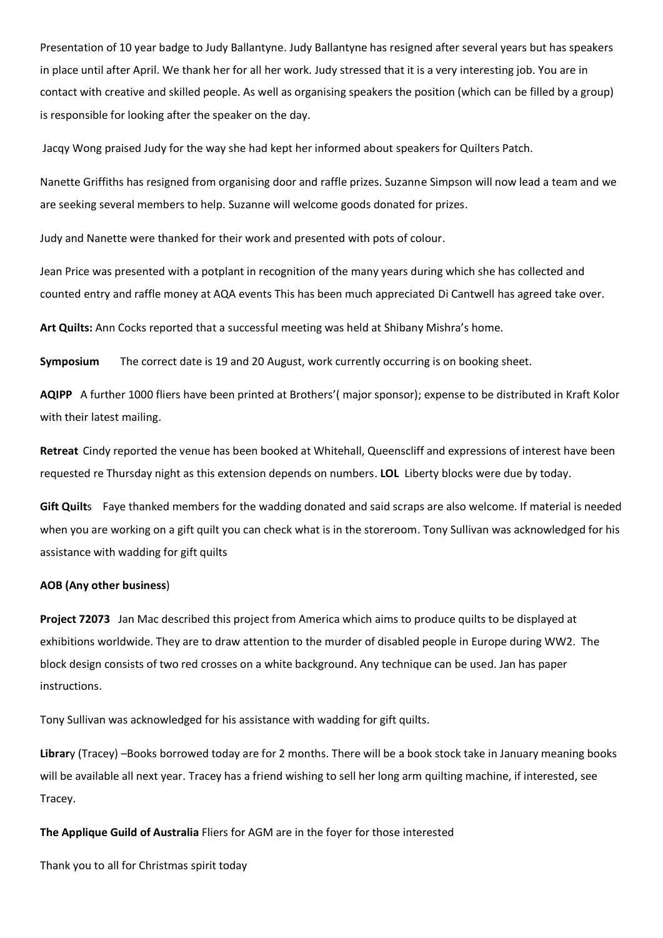Presentation of 10 year badge to Judy Ballantyne. Judy Ballantyne has resigned after several years but has speakers in place until after April. We thank her for all her work. Judy stressed that it is a very interesting job. You are in contact with creative and skilled people. As well as organising speakers the position (which can be filled by a group) is responsible for looking after the speaker on the day.

Jacqy Wong praised Judy for the way she had kept her informed about speakers for Quilters Patch.

Nanette Griffiths has resigned from organising door and raffle prizes. Suzanne Simpson will now lead a team and we are seeking several members to help. Suzanne will welcome goods donated for prizes.

Judy and Nanette were thanked for their work and presented with pots of colour.

Jean Price was presented with a potplant in recognition of the many years during which she has collected and counted entry and raffle money at AQA events This has been much appreciated Di Cantwell has agreed take over.

**Art Quilts:** Ann Cocks reported that a successful meeting was held at Shibany Mishra's home.

**Symposium** The correct date is 19 and 20 August, work currently occurring is on booking sheet.

**AQIPP** A further 1000 fliers have been printed at Brothers'( major sponsor); expense to be distributed in Kraft Kolor with their latest mailing.

**Retreat** Cindy reported the venue has been booked at Whitehall, Queenscliff and expressions of interest have been requested re Thursday night as this extension depends on numbers. **LOL** Liberty blocks were due by today.

**Gift Quilt**s Faye thanked members for the wadding donated and said scraps are also welcome. If material is needed when you are working on a gift quilt you can check what is in the storeroom. Tony Sullivan was acknowledged for his assistance with wadding for gift quilts

## **AOB (Any other business**)

**Project 72073** Jan Mac described this project from America which aims to produce quilts to be displayed at exhibitions worldwide. They are to draw attention to the murder of disabled people in Europe during WW2. The block design consists of two red crosses on a white background. Any technique can be used. Jan has paper instructions.

Tony Sullivan was acknowledged for his assistance with wadding for gift quilts.

**Librar**y (Tracey) –Books borrowed today are for 2 months. There will be a book stock take in January meaning books will be available all next year. Tracey has a friend wishing to sell her long arm quilting machine, if interested, see Tracey.

**The Applique Guild of Australia** Fliers for AGM are in the foyer for those interested

Thank you to all for Christmas spirit today